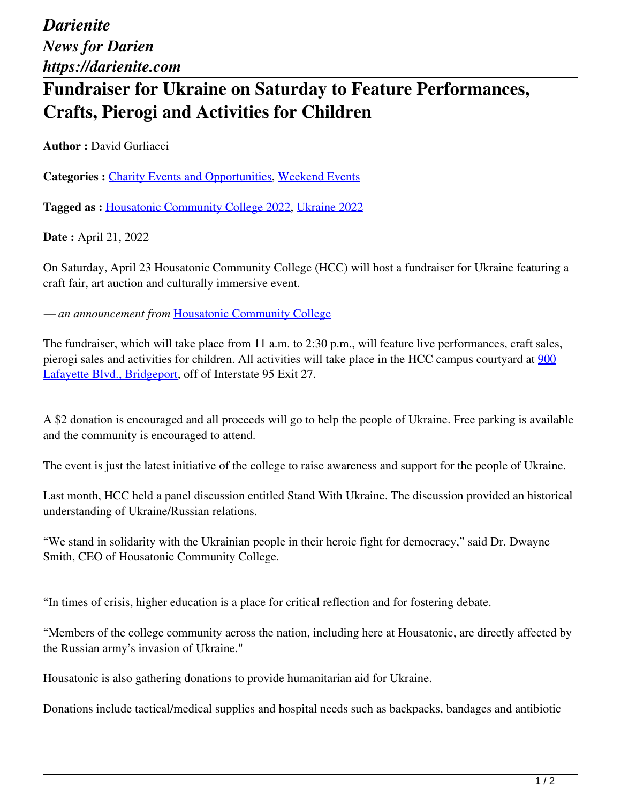*Darienite News for Darien https://darienite.com*

## **Fundraiser for Ukraine on Saturday to Feature Performances, Crafts, Pierogi and Activities for Children**

**Author :** David Gurliacci

Categories : [Charity Events and Opportunities](https://darienite.com/category/charity-events-and-opportunities), Weekend Events

**Tagged as :** Housatonic Community College 2022, Ukraine 2022

**Date :** April 21, 2022

On Saturday, April 23 Housatonic Community College (HCC) will host a fundraiser for Ukraine featuring a craft fair, art auction and culturally immersive event.

*— an announcement from* Housatonic Community College

The fundraiser, which will take place from 11 a.m. to 2:30 p.m., will feature live performances, craft sales, pierogi sales and activities for children. All activities will take place in the HCC campus courtyard at 900 Lafayette Blvd., Bridgeport, off of Interstate 95 Exit 27.

A \$2 donation is encouraged and all proceeds will go to help the people of Ukraine. Free parking is available and the community is encouraged to attend.

The event is just the latest initiative of the college to raise awareness and support for the people of Ukraine.

Last month, HCC held a panel discussion entitled Stand With Ukraine. The discussion provided an historical understanding of Ukraine/Russian relations.

"We stand in solidarity with the Ukrainian people in their heroic fight for democracy," said Dr. Dwayne Smith, CEO of Housatonic Community College.

"In times of crisis, higher education is a place for critical reflection and for fostering debate.

"Members of the college community across the nation, including here at Housatonic, are directly affected by the Russian army's invasion of Ukraine."

Housatonic is also gathering donations to provide humanitarian aid for Ukraine.

Donations include tactical/medical supplies and hospital needs such as backpacks, bandages and antibiotic